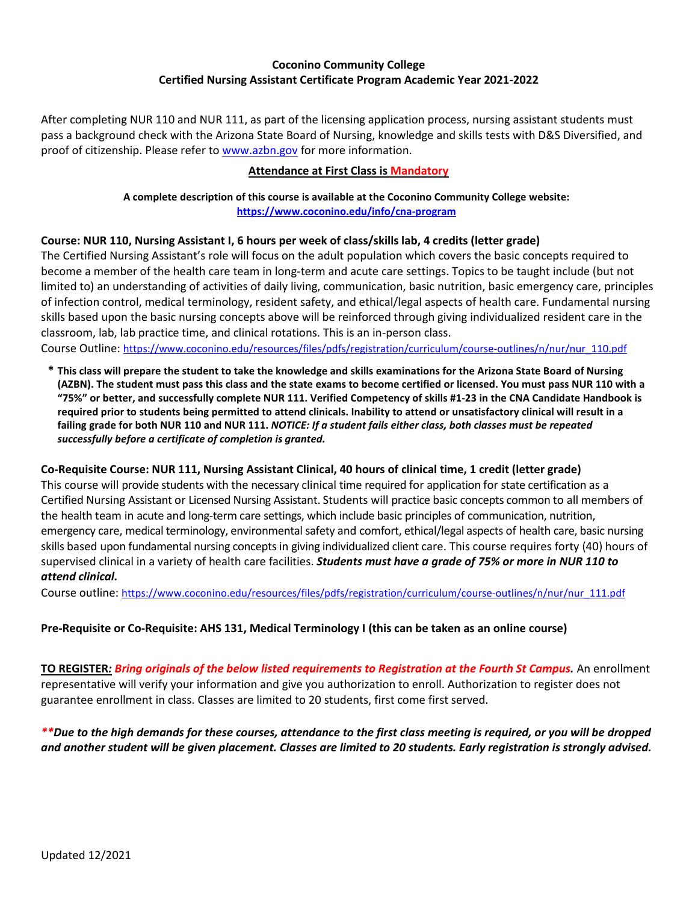### **Coconino Community College Certified Nursing Assistant Certificate Program Academic Year 2021-2022**

After completing NUR 110 and NUR 111, as part of the licensing application process, nursing assistant students must pass a background check with the Arizona State Board of Nursing, knowledge and skills tests with D&S Diversified, and proof of citizenship. Please refer to [www.azbn.gov](http://www.azbn.gov/) for more information.

#### **Attendance at First Class is Mandatory**

**A complete description of this course is available at the Coconino Community College website: <https://www.coconino.edu/info/cna-program>**

### **Course: NUR 110, Nursing Assistant I, 6 hours per week of class/skills lab, 4 credits (letter grade)**

The Certified Nursing Assistant's role will focus on the adult population which covers the basic concepts required to become a member of the health care team in long-term and acute care settings. Topics to be taught include (but not limited to) an understanding of activities of daily living, communication, basic nutrition, basic emergency care, principles of infection control, medical terminology, resident safety, and ethical/legal aspects of health care. Fundamental nursing skills based upon the basic nursing concepts above will be reinforced through giving individualized resident care in the classroom, lab, lab practice time, and clinical rotations. This is an in-person class. Course Outline: [https://www.coconino.edu/resources/files/pdfs/registration/curriculum/course-outlines/n/nur/nur\\_110.pdf](https://www.coconino.edu/resources/files/pdfs/registration/curriculum/course-outlines/n/nur/nur_110.pdf)

**\* This class will prepare the student to take the knowledge and skills examinations for the Arizona State Board of Nursing (AZBN). The student must pass this class and the state exams to become certified or licensed. You must pass NUR 110 with a "75%" or better, and successfully complete NUR 111. Verified Competency of skills #1-23 in the CNA Candidate Handbook is required prior to students being permitted to attend clinicals. Inability to attend or unsatisfactory clinical will result in a failing grade for both NUR 110 and NUR 111.** *NOTICE: If a student fails either class, both classes must be repeated successfully before a certificate of completion is granted.*

### **Co-Requisite Course: NUR 111, Nursing Assistant Clinical, 40 hours of clinical time, 1 credit (letter grade)**

This course will provide students with the necessary clinical time required for application for state certification as a Certified Nursing Assistant or Licensed Nursing Assistant. Students will practice basic concepts common to all members of the health team in acute and long-term care settings, which include basic principles of communication, nutrition, emergency care, medical terminology, environmental safety and comfort, ethical/legal aspects of health care, basic nursing skills based upon fundamental nursing concepts in giving individualized client care. This course requires forty (40) hours of supervised clinical in a variety of health care facilities. *Students must have a grade of 75% or more in NUR 110 to attend clinical.*

Course outline[: https://www.coconino.edu/resources/files/pdfs/registration/curriculum/course-outlines/n/nur/nur\\_111.pdf](https://www.coconino.edu/resources/files/pdfs/registration/curriculum/course-outlines/n/nur/nur_111.pdf)

### **Pre-Requisite or Co-Requisite: AHS 131, Medical Terminology I (this can be taken as an online course)**

**TO REGISTER***: Bring originals of the below listed requirements to Registration at the Fourth St Campus.* An enrollment representative will verify your information and give you authorization to enroll. Authorization to register does not guarantee enrollment in class. Classes are limited to 20 students, first come first served.

*\*\*Due to the high demands for these courses, attendance to the first class meeting is required, or you will be dropped and another student will be given placement. Classes are limited to 20 students. Early registration is strongly advised.*